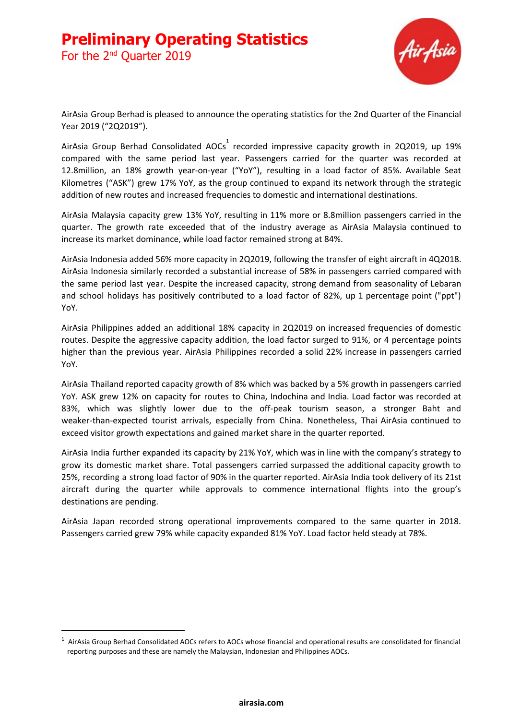For the 2<sup>nd</sup> Quarter 2019



AirAsia Group Berhad is pleased to announce the operating statistics for the 2nd Quarter of the Financial Year 2019 ("2Q2019").

AirAsia Group Berhad Consolidated AOCs  $^{1}$  recorded impressive capacity growth in 2Q2019, up 19% compared with the same period last year. Passengers carried for the quarter was recorded at 12.8million, an 18% growth year-on-year ("YoY"), resulting in a load factor of 85%. Available Seat Kilometres ("ASK") grew 17% YoY, as the group continued to expand its network through the strategic addition of new routes and increased frequencies to domestic and international destinations.

AirAsia Malaysia capacity grew 13% YoY, resulting in 11% more or 8.8million passengers carried in the quarter. The growth rate exceeded that of the industry average as AirAsia Malaysia continued to increase its market dominance, while load factor remained strong at 84%.

AirAsia Indonesia added 56% more capacity in 2Q2019, following the transfer of eight aircraft in 4Q2018. AirAsia Indonesia similarly recorded a substantial increase of 58% in passengers carried compared with the same period last year. Despite the increased capacity, strong demand from seasonality of Lebaran and school holidays has positively contributed to a load factor of 82%, up 1 percentage point ("ppt") YoY.

AirAsia Philippines added an additional 18% capacity in 2Q2019 on increased frequencies of domestic routes. Despite the aggressive capacity addition, the load factor surged to 91%, or 4 percentage points higher than the previous year. AirAsia Philippines recorded a solid 22% increase in passengers carried YoY.

AirAsia Thailand reported capacity growth of 8% which was backed by a 5% growth in passengers carried YoY. ASK grew 12% on capacity for routes to China, Indochina and India. Load factor was recorded at 83%, which was slightly lower due to the off-peak tourism season, a stronger Baht and weaker-than-expected tourist arrivals, especially from China. Nonetheless, Thai AirAsia continued to exceed visitor growth expectations and gained market share in the quarter reported.

AirAsia India further expanded its capacity by 21% YoY, which was in line with the company's strategy to grow its domestic market share. Total passengers carried surpassed the additional capacity growth to 25%, recording a strong load factor of 90% in the quarter reported. AirAsia India took delivery of its 21st aircraft during the quarter while approvals to commence international flights into the group's destinations are pending.

AirAsia Japan recorded strong operational improvements compared to the same quarter in 2018. Passengers carried grew 79% while capacity expanded 81% YoY. Load factor held steady at 78%.

 $1$  AirAsia Group Berhad Consolidated AOCs refers to AOCs whose financial and operational results are consolidated for financial reporting purposes and these are namely the Malaysian, Indonesian and Philippines AOCs.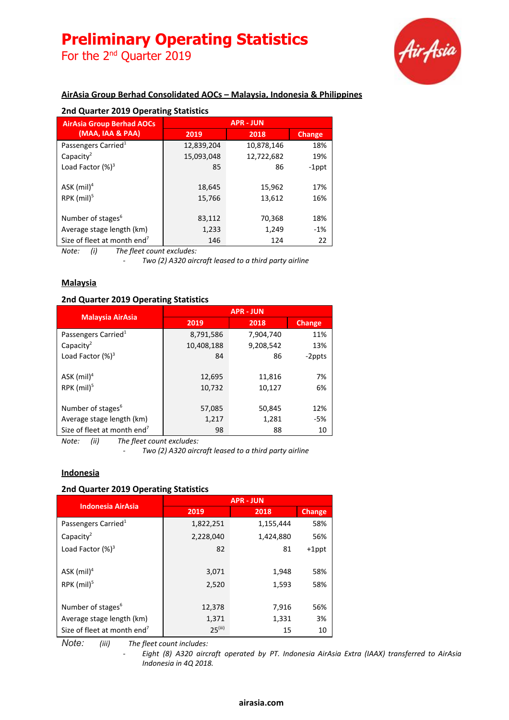# **Preliminary Operating Statistics**

For the 2<sup>nd</sup> Quarter 2019



## **AirAsia Group Berhad Consolidated AOCs – Malaysia, Indonesia & Philippines**

| 2nd Quarter 2019 Operating Statistics   |                  |                  |               |
|-----------------------------------------|------------------|------------------|---------------|
| <b>AirAsia Group Berhad AOCs</b>        | <b>APR - JUN</b> |                  |               |
| (MAA, IAA & PAA)                        | 2019             | 2018             | <b>Change</b> |
| Passengers Carried <sup>1</sup>         | 12,839,204       | 10,878,146       | 18%           |
| Capacity <sup>2</sup>                   | 15,093,048       | 12,722,682       | 19%           |
| Load Factor $(%)^3$                     | 85               | 86               | $-1$ ppt      |
| ASK $(mil)^4$<br>RPK $(mil)^5$          | 18,645<br>15,766 | 15,962<br>13,612 | 17%<br>16%    |
| Number of stages <sup>6</sup>           | 83,112           | 70,368           | 18%           |
| Average stage length (km)               | 1,233            | 1,249            | $-1%$         |
| Size of fleet at month end <sup>7</sup> | 146              | 124              | 22            |

*Note: (i) The fleet count excludes:*

*- Two (2) A320 aircraft leased to a third party airline*

## **Malaysia**

## **2nd Quarter 2019 Operating Statistics**

|                                         | <b>APR - JUN</b> |           |               |  |
|-----------------------------------------|------------------|-----------|---------------|--|
| <b>Malaysia AirAsia</b>                 | 2019             | 2018      | <b>Change</b> |  |
| Passengers Carried <sup>1</sup>         | 8,791,586        | 7,904,740 | 11%           |  |
| Capacity <sup>2</sup>                   | 10,408,188       | 9,208,542 | 13%           |  |
| Load Factor $(%)^3$                     | 84               | 86        | -2ppts        |  |
|                                         |                  |           |               |  |
| $ASK$ (mil) <sup>4</sup>                | 12,695           | 11,816    | 7%            |  |
| RPK $(mil)^5$                           | 10,732           | 10,127    | 6%            |  |
|                                         |                  |           |               |  |
| Number of stages <sup>6</sup>           | 57,085           | 50,845    | 12%           |  |
| Average stage length (km)               | 1,217            | 1,281     | -5%           |  |
| Size of fleet at month end <sup>7</sup> | 98               | 88        | 10            |  |

*Note: (ii) The fleet count excludes:*

*- Two (2) A320 aircraft leased to a third party airline*

### **Indonesia**

### **2nd Quarter 2019 Operating Statistics**

| <b>Indonesia AirAsia</b>                | <b>APR - JUN</b>      |           |               |  |
|-----------------------------------------|-----------------------|-----------|---------------|--|
|                                         | 2019                  | 2018      | <b>Change</b> |  |
| Passengers Carried <sup>1</sup>         | 1,822,251             | 1,155,444 | 58%           |  |
| Capacity <sup>2</sup>                   | 2,228,040             | 1,424,880 | 56%           |  |
| Load Factor $(\%)^3$                    | 82                    | 81        | +1ppt         |  |
|                                         |                       |           |               |  |
| ASK $(mil)^4$                           | 3,071                 | 1,948     | 58%           |  |
| RPK $(mil)^5$                           | 2,520                 | 1,593     | 58%           |  |
|                                         |                       |           |               |  |
| Number of stages <sup>6</sup>           | 12,378                | 7,916     | 56%           |  |
| Average stage length (km)               | 1,371                 | 1,331     | 3%            |  |
| Size of fleet at month end <sup>7</sup> | $25$ <sup>(iii)</sup> | 15        | 10            |  |

*Note: (iii) The fleet count includes:*

*- Eight (8) A320 aircraft operated by PT. Indonesia AirAsia Extra (IAAX) transferred to AirAsia Indonesia in 4Q 2018.*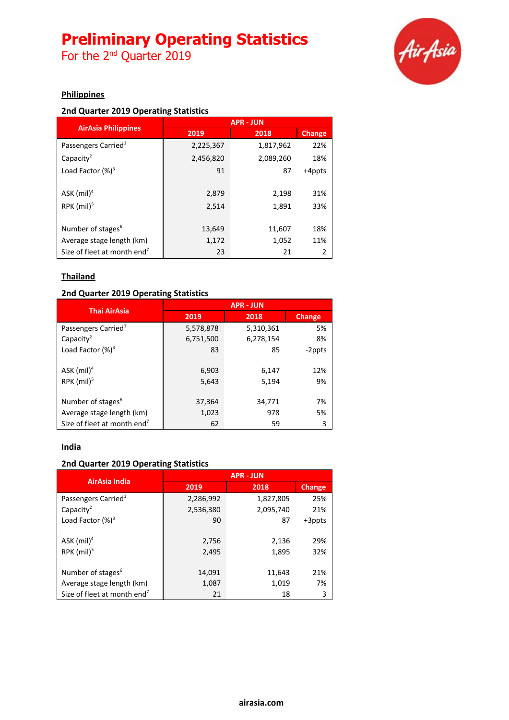# **Preliminary Operating Statistics**

For the 2<sup>nd</sup> Quarter 2019



## **Philippines**

## **2nd Quarter 2019 Operating Statistics**

|                                         | <b>APR - JUN</b> |           |               |  |
|-----------------------------------------|------------------|-----------|---------------|--|
| <b>AirAsia Philippines</b>              | 2019             | 2018      | <b>Change</b> |  |
| Passengers Carried <sup>1</sup>         | 2,225,367        | 1,817,962 | 22%           |  |
| Capacity <sup>2</sup>                   | 2,456,820        | 2,089,260 | 18%           |  |
| Load Factor $(%)^3$                     | 91               | 87        | +4ppts        |  |
|                                         |                  |           |               |  |
| ASK $(mil)^4$                           | 2,879            | 2,198     | 31%           |  |
| RPK (mil) <sup>5</sup>                  | 2,514            | 1,891     | 33%           |  |
|                                         |                  |           |               |  |
| Number of stages <sup>6</sup>           | 13,649           | 11,607    | 18%           |  |
| Average stage length (km)               | 1,172            | 1,052     | 11%           |  |
| Size of fleet at month end <sup>7</sup> | 23               | 21        | 2             |  |

## **Thailand**

## **2nd Quarter 2019 Operating Statistics**

| <b>Thai AirAsia</b>                     | <b>APR - JUN</b> |           |               |  |
|-----------------------------------------|------------------|-----------|---------------|--|
|                                         | 2019             | 2018      | <b>Change</b> |  |
| Passengers Carried <sup>1</sup>         | 5,578,878        | 5,310,361 | 5%            |  |
| Capacity <sup>2</sup>                   | 6,751,500        | 6,278,154 | 8%            |  |
| Load Factor $(\%)^3$                    | 83               | 85        | -2ppts        |  |
|                                         |                  |           |               |  |
| $ASK$ (mil) <sup>4</sup>                | 6,903            | 6,147     | 12%           |  |
| RPK $(mil)^5$                           | 5,643            | 5,194     | 9%            |  |
|                                         |                  |           |               |  |
| Number of stages <sup>6</sup>           | 37,364           | 34,771    | 7%            |  |
| Average stage length (km)               | 1,023            | 978       | 5%            |  |
| Size of fleet at month end <sup>7</sup> | 62               | 59        | 3             |  |

### **India**

## **2nd Quarter 2019 Operating Statistics**

| AirAsia India                           | <b>APR - JUN</b> |           |               |  |
|-----------------------------------------|------------------|-----------|---------------|--|
|                                         | 2019             | 2018      | <b>Change</b> |  |
| Passengers Carried <sup>1</sup>         | 2,286,992        | 1,827,805 | 25%           |  |
| Capacity <sup>2</sup>                   | 2,536,380        | 2,095,740 | 21%           |  |
| Load Factor $(\%)^3$                    | 90               | 87        | +3ppts        |  |
|                                         |                  |           |               |  |
| ASK $(mil)^4$                           | 2,756            | 2,136     | 29%           |  |
| RPK $(mil)^5$                           | 2,495            | 1,895     | 32%           |  |
|                                         |                  |           |               |  |
| Number of stages <sup>6</sup>           | 14,091           | 11,643    | 21%           |  |
| Average stage length (km)               | 1,087            | 1,019     | 7%            |  |
| Size of fleet at month end <sup>7</sup> | 21               | 18        | 3             |  |